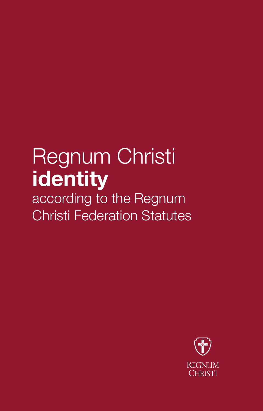## Regnum Christi **identity** according to the Regnum Christi Federation Statutes

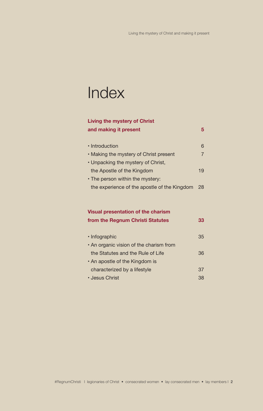### **Index**

#### **Living the mystery of Christ and making it present 5**

| • Introduction                               |    |
|----------------------------------------------|----|
| • Making the mystery of Christ present       |    |
| • Unpacking the mystery of Christ,           |    |
| the Apostle of the Kingdom                   | 19 |
| • The person within the mystery:             |    |
| the experience of the apostle of the Kingdom | 28 |

#### **Visual presentation of the charism**

| 35 |
|----|
|    |
| 36 |
|    |
| 37 |
| 38 |
|    |

**from the Regnum Christi Statutes 33**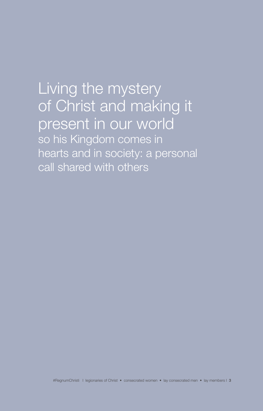Living the mystery of Christ and making it present in our world so his Kingdom comes in hearts and in society: a personal call shared with others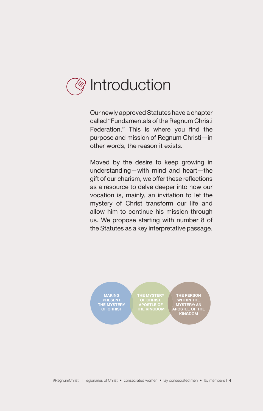

Our newly approved Statutes have a chapter called "Fundamentals of the Regnum Christi Federation." This is where you find the purpose and mission of Regnum Christi—in other words, the reason it exists.

Moved by the desire to keep growing in understanding—with mind and heart—the gift of our charism, we offer these reflections as a resource to delve deeper into how our vocation is, mainly, an invitation to let the mystery of Christ transform our life and allow him to continue his mission through us. We propose starting with number 8 of the Statutes as a key interpretative passage.



#RegnumChristi I legionaries of Christ • consecrated women • lay consecrated men • lay members I 4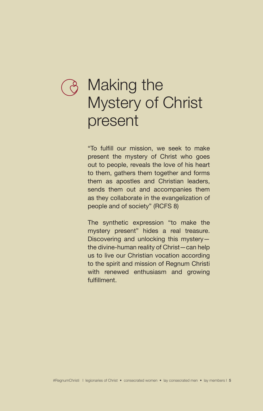

### Making the Mystery of Christ present

"To fulfill our mission, we seek to make present the mystery of Christ who goes out to people, reveals the love of his heart to them, gathers them together and forms them as apostles and Christian leaders, sends them out and accompanies them as they collaborate in the evangelization of people and of society" (RCFS 8)

The synthetic expression "to make the mystery present" hides a real treasure. Discovering and unlocking this mystery the divine-human reality of Christ—can help us to live our Christian vocation according to the spirit and mission of Regnum Christi with renewed enthusiasm and growing fulfillment.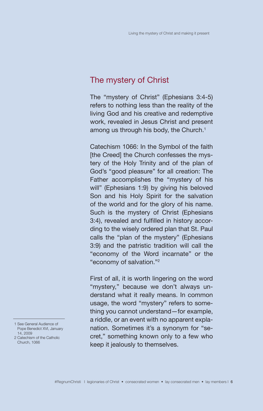#### The mystery of Christ

The "mystery of Christ" (Ephesians 3:4-5) refers to nothing less than the reality of the living God and his creative and redemptive work, revealed in Jesus Christ and present among us through his body, the Church.<sup>1</sup>

Catechism 1066: In the Symbol of the faith [the Creed] the Church confesses the mystery of the Holy Trinity and of the plan of God's "good pleasure" for all creation: The Father accomplishes the "mystery of his will" (Ephesians 1:9) by giving his beloved Son and his Holy Spirit for the salvation of the world and for the glory of his name. Such is the mystery of Christ (Ephesians 3:4), revealed and fulfilled in history according to the wisely ordered plan that St. Paul calls the "plan of the mystery" (Ephesians 3:9) and the patristic tradition will call the "economy of the Word incarnate" or the "economy of salvation."2

First of all, it is worth lingering on the word "mystery," because we don't always understand what it really means. In common usage, the word "mystery" refers to something you cannot understand—for example, a riddle, or an event with no apparent explanation. Sometimes it's a synonym for "secret," something known only to a few who keep it jealously to themselves.

<sup>1</sup> See General Audience of Pope Benedict XVI, January 14, 2009 2 Catechism of the Catholic

Church, 1066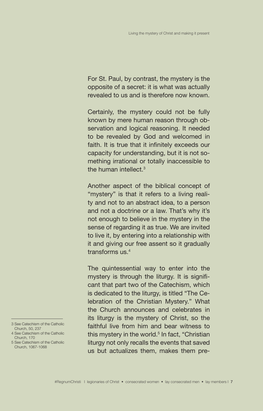For St. Paul, by contrast, the mystery is the opposite of a secret: it is what was actually revealed to us and is therefore now known.

Certainly, the mystery could not be fully known by mere human reason through observation and logical reasoning. It needed to be revealed by God and welcomed in faith. It is true that it infinitely exceeds our capacity for understanding, but it is not something irrational or totally inaccessible to the human intellect.3

Another aspect of the biblical concept of "mystery" is that it refers to a living reality and not to an abstract idea, to a person and not a doctrine or a law. That's why it's not enough to believe in the mystery in the sense of regarding it as true. We are invited to live it, by entering into a relationship with it and giving our free assent so it gradually transforms us.<sup>4</sup>

The quintessential way to enter into the mystery is through the liturgy. It is significant that part two of the Catechism, which is dedicated to the liturgy, is titled "The Celebration of the Christian Mystery." What the Church announces and celebrates in its liturgy is the mystery of Christ, so the faithful live from him and bear witness to this mystery in the world.<sup>5</sup> In fact, "Christian liturgy not only recalls the events that saved us but actualizes them, makes them pre-

<sup>3</sup> See Catechism of the Catholic Church, 50, 237 4 See Catechism of the Catholic

Church, 170 5 See Catechism of the Catholic

Church, 1067-1068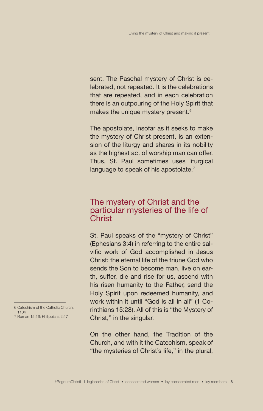sent. The Paschal mystery of Christ is celebrated, not repeated. It is the celebrations that are repeated, and in each celebration there is an outpouring of the Holy Spirit that makes the unique mystery present.<sup>6</sup>

The apostolate, insofar as it seeks to make the mystery of Christ present, is an extension of the liturgy and shares in its nobility as the highest act of worship man can offer. Thus, St. Paul sometimes uses liturgical language to speak of his apostolate. $7$ 

#### The mystery of Christ and the particular mysteries of the life of Christ

St. Paul speaks of the "mystery of Christ" (Ephesians 3:4) in referring to the entire salvific work of God accomplished in Jesus Christ: the eternal life of the triune God who sends the Son to become man, live on earth, suffer, die and rise for us, ascend with his risen humanity to the Father, send the Holy Spirit upon redeemed humanity, and work within it until "God is all in all" (1 Corinthians 15:28). All of this is "the Mystery of Christ," in the singular.

On the other hand, the Tradition of the Church, and with it the Catechism, speak of "the mysteries of Christ's life," in the plural,

<sup>6</sup> Catechism of the Catholic Church, 1104

<sup>7</sup> Roman 15:16; Philippians 2:17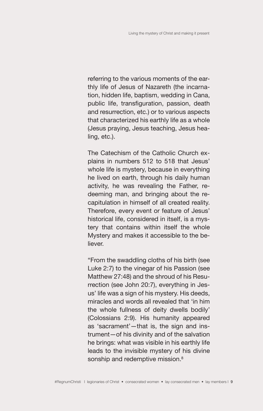referring to the various moments of the earthly life of Jesus of Nazareth (the incarnation, hidden life, baptism, wedding in Cana, public life, transfiguration, passion, death and resurrection, etc.) or to various aspects that characterized his earthly life as a whole (Jesus praying, Jesus teaching, Jesus healing, etc.).

The Catechism of the Catholic Church explains in numbers 512 to 518 that Jesus' whole life is mystery, because in everything he lived on earth, through his daily human activity, he was revealing the Father, redeeming man, and bringing about the recapitulation in himself of all created reality. Therefore, every event or feature of Jesus' historical life, considered in itself, is a mystery that contains within itself the whole Mystery and makes it accessible to the believer.

"From the swaddling cloths of his birth (see Luke 2:7) to the vinegar of his Passion (see Matthew 27:48) and the shroud of his Resurrection (see John 20:7), everything in Jesus' life was a sign of his mystery. His deeds, miracles and words all revealed that 'in him the whole fullness of deity dwells bodily' (Colossians 2:9). His humanity appeared as 'sacrament'—that is, the sign and instrument—of his divinity and of the salvation he brings: what was visible in his earthly life leads to the invisible mystery of his divine sonship and redemptive mission.<sup>8</sup>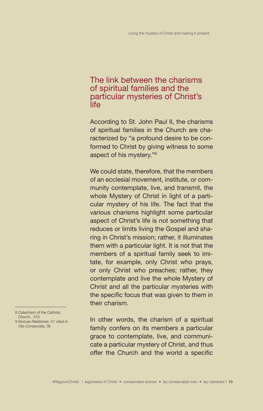#### The link between the charisms of spiritual families and the particular mysteries of Christ's life

According to St. John Paul II, the charisms of spiritual families in the Church are characterized by "a profound desire to be conformed to Christ by giving witness to some aspect of his mystery."9

We could state, therefore, that the members of an ecclesial movement, institute, or community contemplate, live, and transmit, the whole Mystery of Christ in light of a particular mystery of his life. The fact that the various charisms highlight some particular aspect of Christ's life is not something that reduces or limits living the Gospel and sharing in Christ's mission; rather, it illuminates them with a particular light. It is not that the members of a spiritual family seek to imitate, for example, only Christ who prays, or only Christ who preaches; rather, they contemplate and live the whole Mystery of Christ and all the particular mysteries with the specific focus that was given to them in their charism.

In other words, the charism of a spiritual family confers on its members a particular grace to contemplate, live, and communicate a particular mystery of Christ, and thus offer the Church and the world a specific

<sup>8</sup> Catechism of the Catholic Church, 515

<sup>9</sup> *Mutuae Relationes*, 51 cited in *Vita Consecrata*, 36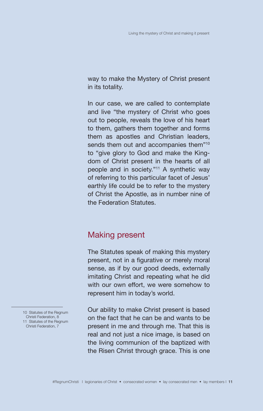way to make the Mystery of Christ present in its totality.

In our case, we are called to contemplate and live "the mystery of Christ who goes out to people, reveals the love of his heart to them, gathers them together and forms them as apostles and Christian leaders, sends them out and accompanies them<sup>"10</sup> to "give glory to God and make the Kingdom of Christ present in the hearts of all people and in society."<sup>11</sup> A synthetic way of referring to this particular facet of Jesus' earthly life could be to refer to the mystery of Christ the Apostle, as in number nine of the Federation Statutes.

#### Making present

The Statutes speak of making this mystery present, not in a figurative or merely moral sense, as if by our good deeds, externally imitating Christ and repeating what he did with our own effort, we were somehow to represent him in today's world.

Our ability to make Christ present is based on the fact that he can be and wants to be present in me and through me. That this is real and not just a nice image, is based on the living communion of the baptized with the Risen Christ through grace. This is one

10 Statutes of the Regnum Christi Federation, 8 11 Statutes of the Regnum Christi Federation, 7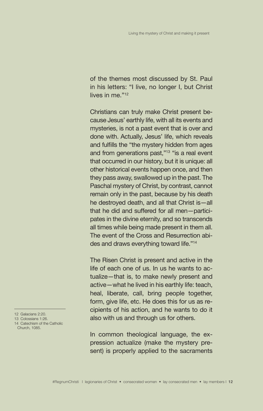of the themes most discussed by St. Paul in his letters: "I live, no longer I, but Christ lives in me."12

Christians can truly make Christ present because Jesus' earthly life, with all its events and mysteries, is not a past event that is over and done with. Actually, Jesus' life, which reveals and fulfills the "the mystery hidden from ages and from generations past,"13 "is a real event that occurred in our history, but it is unique: all other historical events happen once, and then they pass away, swallowed up in the past. The Paschal mystery of Christ, by contrast, cannot remain only in the past, because by his death he destroyed death, and all that Christ is—all that he did and suffered for all men—participates in the divine eternity, and so transcends all times while being made present in them all. The event of the Cross and Resurrection abides and draws everything toward life."14

The Risen Christ is present and active in the life of each one of us. In us he wants to actualize—that is, to make newly present and active—what he lived in his earthly life: teach, heal, liberate, call, bring people together, form, give life, etc. He does this for us as recipients of his action, and he wants to do it also with us and through us for others.

In common theological language, the expression actualize (make the mystery present) is properly applied to the sacraments

- 12 Galacians 2:20.
- 13 Colossians 1:26.
- 14 Catechism of the Catholic Church, 1085.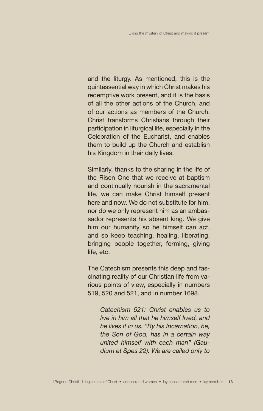and the liturgy. As mentioned, this is the quintessential way in which Christ makes his redemptive work present, and it is the basis of all the other actions of the Church, and of our actions as members of the Church. Christ transforms Christians through their participation in liturgical life, especially in the Celebration of the Eucharist, and enables them to build up the Church and establish his Kingdom in their daily lives.

Similarly, thanks to the sharing in the life of the Risen One that we receive at baptism and continually nourish in the sacramental life, we can make Christ himself present here and now. We do not substitute for him, nor do we only represent him as an ambassador represents his absent king. We give him our humanity so he himself can act, and so keep teaching, healing, liberating, bringing people together, forming, giving life, etc.

The Catechism presents this deep and fascinating reality of our Christian life from various points of view, especially in numbers 519, 520 and 521, and in number 1698.

> *Catechism 521: Christ enables us to live in him all that he himself lived, and he lives it in us. "By his Incarnation, he, the Son of God, has in a certain way united himself with each man" (Gaudium et Spes 22). We are called only to*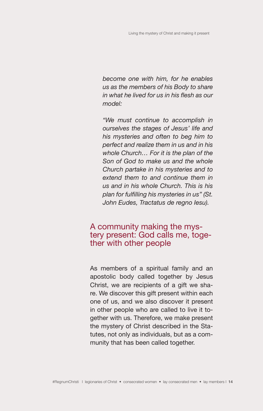*become one with him, for he enables us as the members of his Body to share in what he lived for us in his flesh as our model:*

*"We must continue to accomplish in ourselves the stages of Jesus' life and his mysteries and often to beg him to perfect and realize them in us and in his whole Church… For it is the plan of the Son of God to make us and the whole Church partake in his mysteries and to extend them to and continue them in us and in his whole Church. This is his plan for fulfilling his mysteries in us" (St. John Eudes, Tractatus de regno Iesu).*

# A community making the mys- tery present: God calls me, toge- ther with other people

As members of a spiritual family and an apostolic body called together by Jesus Christ, we are recipients of a gift we share. We discover this gift present within each one of us, and we also discover it present in other people who are called to live it together with us. Therefore, we make present the mystery of Christ described in the Statutes, not only as individuals, but as a community that has been called together.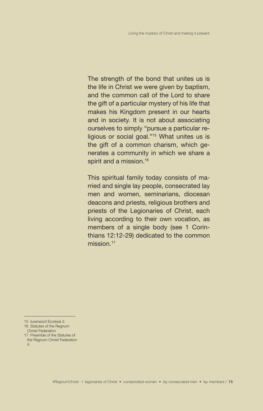The strength of the bond that unites us is the life in Christ we were given by baptism, and the common call of the Lord to share the gift of a particular mystery of his life that makes his Kingdom present in our hearts and in society. It is not about associating ourselves to simply "pursue a particular religious or social goal."15 What unites us is the gift of a common charism, which generates a community in which we share a spirit and a mission.<sup>16</sup>

This spiritual family today consists of married and single lay people, consecrated lay men and women, seminarians, diocesan deacons and priests, religious brothers and priests of the Legionaries of Christ, each living according to their own vocation, as members of a single body (see 1 Corinthians 12:12-29) dedicated to the common mission.<sup>17</sup>

- 17 Preamble of the Statutes of the Regnum Christi Federation 4.
- 

<sup>15</sup> *Iuvenescit* Ecclesia 2.

<sup>16</sup> Statutes of the Regnum Christi Federation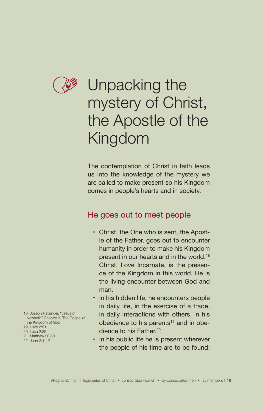

### Unpacking the mystery of Christ, the Apostle of the Kingdom

The contemplation of Christ in faith leads us into the knowledge of the mystery we are called to make present so his Kingdom comes in people's hearts and in society.

#### He goes out to meet people

- Christ, the One who is sent, the Apostle of the Father, goes out to encounter humanity in order to make his Kingdom present in our hearts and in the world.18 Christ, Love Incarnate, is the presence of the Kingdom in this world. He is the living encounter between God and man.
- In his hidden life, he encounters people in daily life, in the exercise of a trade, in daily interactions with others, in his obedience to his parents<sup>19</sup> and in obedience to his Father.<sup>20</sup>
- In his public life he is present wherever the people of his time are to be found:

<sup>18</sup> Joseph Ratzinger, "Jesus of Nazareth" Chapter 3, The Gospel of the Kingdom of God

<sup>19</sup> Luke 2:51

<sup>20</sup> Luke 2:39

<sup>21</sup> Matthew 20:30

<sup>22</sup> John 2:1-12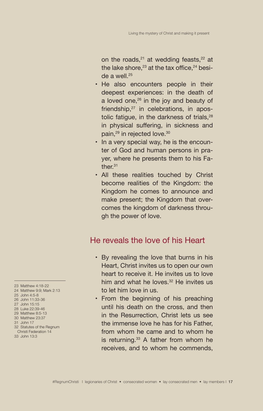on the roads, $21$  at wedding feasts, $22$  at the lake shore, $23$  at the tax office,  $24$  beside a well $25$ 

- He also encounters people in their deepest experiences: in the death of a loved one, $26$  in the joy and beauty of friendship,<sup>27</sup> in celebrations, in apostolic fatigue, in the darkness of trials.<sup>28</sup> in physical suffering, in sickness and pain,<sup>29</sup> in rejected love.<sup>30</sup>
- In a very special way, he is the encounter of God and human persons in prayer, where he presents them to his Father.31
- All these realities touched by Christ become realities of the Kingdom: the Kingdom he comes to announce and make present; the Kingdom that overcomes the kingdom of darkness through the power of love.

#### He reveals the love of his Heart

- By revealing the love that burns in his Heart, Christ invites us to open our own heart to receive it. He invites us to love him and what he loves.<sup>32</sup> He invites us to let him love in us.
- From the beginning of his preaching until his death on the cross, and then in the Resurrection, Christ lets us see the immense love he has for his Father, from whom he came and to whom he is returning. $33$  A father from whom he receives, and to whom he commends,
- 23 Matthew 4:18-22 24 Matthew 9:9; Mark 2:13 25 John 4:5-8
- 26 John 11:33-36
- 27 John 15:15 28 Luke 22:39-46
- 29 Matthew 8:5-13
- 30 Matthew 23:37
- 31 John 17
- 32 Statutes of the Regnum Christi Federation 14
- 33 John 13:3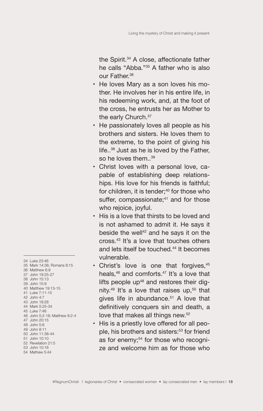the Spirit.34 A close, affectionate father he calls "Abba."35 A father who is also our Father<sup>36</sup>

- He loves Mary as a son loves his mother. He involves her in his entire life, in his redeeming work, and, at the foot of the cross, he entrusts her as Mother to the early Church.<sup>37</sup>
- He passionately loves all people as his brothers and sisters. He loves them to the extreme, to the point of giving his life..38 Just as he is loved by the Father, so he loves them..<sup>39</sup>
- Christ loves with a personal love, capable of establishing deep relationships. His love for his friends is faithful; for children, it is tender; $40$  for those who suffer, compassionate;<sup>41</sup> and for those who rejoice, joyful.
- His is a love that thirsts to be loved and is not ashamed to admit it. He says it beside the well<sup>42</sup> and he says it on the cross.43 It's a love that touches others and lets itself be touched.<sup>44</sup> It becomes vulnerable.
- $\cdot$  Christ's love is one that forgives,  $45$ heals,<sup>46</sup> and comforts.<sup>47</sup> It's a love that lifts people up<sup>48</sup> and restores their dignity.<sup>49</sup> It's a love that raises up,<sup>50</sup> that gives life in abundance. $51$  A love that definitively conquers sin and death, a love that makes all things new.<sup>52</sup>
- His is a priestly love offered for all people, his brothers and sisters:<sup>53</sup> for friend as for enemy;<sup>54</sup> for those who recognize and welcome him as for those who
- 34 Luke 23:46
- 35 Mark 14:36; Romans 8:15
- 36 Matthew 6:9 37 John 19:25-27
- 38 John 15:13
- 39 John 15:9
- 40 Matthew 19:13-15
- 41 Luke 7:11-15
- 42 John 4:7
- 43 John 19:28 44 Mark 5:25-34
- 45 Luke 7:48
- 46 John 5:2-18; Matthew 8:2-4
- 47 John 20:15
- 48 John 5:8 49 John 8:11
- 50 John 11:38-44
- 51 John 10:10
- 52 Revelation 21:5
- 53 John 10:18
- 54 Mathew 5:44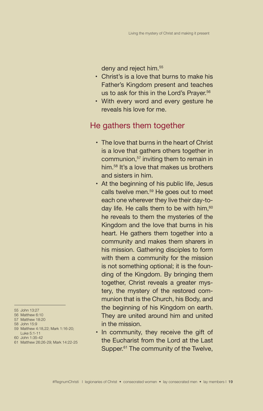deny and reject him.<sup>55</sup>

- Christ's is a love that burns to make his Father's Kingdom present and teaches us to ask for this in the Lord's Prayer.<sup>56</sup>
- With every word and every gesture he reveals his love for me.

#### He gathers them together

- The love that burns in the heart of Christ is a love that gathers others together in communion,<sup>57</sup> inviting them to remain in him.58 It's a love that makes us brothers and sisters in him.
- At the beginning of his public life, Jesus calls twelve men.<sup>59</sup> He goes out to meet each one wherever they live their day-today life. He calls them to be with him,<sup>60</sup> he reveals to them the mysteries of the Kingdom and the love that burns in his heart. He gathers them together into a community and makes them sharers in his mission. Gathering disciples to form with them a community for the mission is not something optional; it is the founding of the Kingdom. By bringing them together, Christ reveals a greater mystery, the mystery of the restored communion that is the Church, his Body, and the beginning of his Kingdom on earth. They are united around him and united in the mission.
- In community, they receive the gift of the Eucharist from the Lord at the Last Supper.<sup>61</sup> The community of the Twelve,

<sup>55</sup> John 13:27

<sup>56</sup> Matthew 6:10 57 Matthew 18:20

<sup>58</sup> John 15:9

<sup>59</sup> Matthew 4:18,22; Mark 1:16-20;

Luke 5:1-11 60 John 1:35-42

<sup>61</sup> Matthew 26:26-29; Mark 14:22-25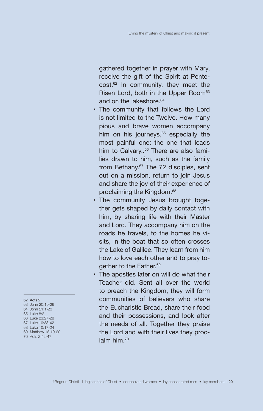gathered together in prayer with Mary, receive the gift of the Spirit at Pentecost.<sup>62</sup> In community, they meet the Risen Lord, both in the Upper Room<sup>63</sup> and on the lakeshore.<sup>64</sup>

- The community that follows the Lord is not limited to the Twelve. How many pious and brave women accompany him on his journeys, $65$  especially the most painful one: the one that leads him to Calvary..<sup>66</sup> There are also families drawn to him, such as the family from Bethany.<sup>67</sup> The 72 disciples, sent out on a mission, return to join Jesus and share the joy of their experience of proclaiming the Kingdom.<sup>68</sup>
- The community Jesus brought together gets shaped by daily contact with him, by sharing life with their Master and Lord. They accompany him on the roads he travels, to the homes he visits, in the boat that so often crosses the Lake of Galilee. They learn from him how to love each other and to pray together to the Father.<sup>69</sup>
- The apostles later on will do what their Teacher did. Sent all over the world to preach the Kingdom, they will form communities of believers who share the Eucharistic Bread, share their food and their possessions, and look after the needs of all. Together they praise the Lord and with their lives they proclaim him<sup>70</sup>
- 62 Acts 2 63 John 20:19-29 64 John 21:1-23 65 Luke 8:2 66 Luke 23:27-28 67 Luke 10:38-42 68 Luke 10:17-24 69 Matthew 18:19-20 70 Acts 2:42-47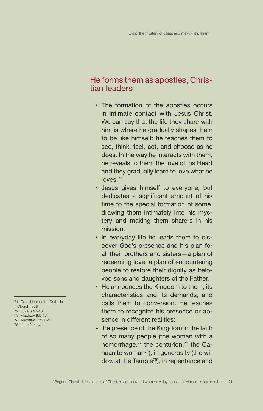#### He forms them as apostles, Christian leaders

- The formation of the apostles occurs in intimate contact with Jesus Christ. We can say that the life they share with him is where he gradually shapes them to be like himself: he teaches them to see, think, feel, act, and choose as he does. In the way he interacts with them, he reveals to them the love of his Heart and they gradually learn to love what he loves.71
- Jesus gives himself to everyone, but dedicates a significant amount of his time to the special formation of some, drawing them intimately into his mystery and making them sharers in his mission.
- In everyday life he leads them to discover God's presence and his plan for all their brothers and sisters—a plan of redeeming love, a plan of encountering people to restore their dignity as beloved sons and daughters of the Father.
- He announces the Kingdom to them, its characteristics and its demands, and calls them to conversion. He teaches them to recognize his presence or absence in different realities:
- the presence of the Kingdom in the faith of so many people (the woman with a hemorrhage, $72$  the centurion, $73$  the Canaanite woman $74$ ), in generosity (the widow at the Temple $75$ ), in repentance and
- 71 Catechism of the Catholic Church, 368
- 72 Luke 8:43-48
- 73 Matthew 8:5-13
- 74 Matthew 15:21-28
- 75 Luke 21:1-4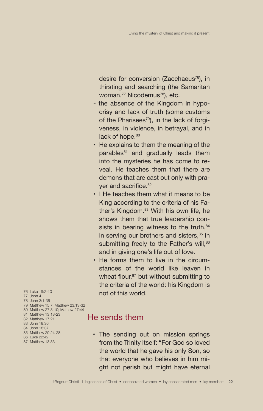desire for conversion (Zacchaeus<sup>76</sup>), in thirsting and searching (the Samaritan woman.<sup>77</sup> Nicodemus<sup>78</sup>), etc.

- the absence of the Kingdom in hypocrisy and lack of truth (some customs of the Pharisees<sup>79</sup>), in the lack of forgiveness, in violence, in betrayal, and in lack of hope.<sup>80</sup>
- He explains to them the meaning of the parables $81$  and gradually leads them into the mysteries he has come to reveal. He teaches them that there are demons that are cast out only with prayer and sacrifice.<sup>82</sup>
- LHe teaches them what it means to be King according to the criteria of his Father's Kingdom.<sup>83</sup> With his own life, he shows them that true leadership consists in bearing witness to the truth, 84 in serving our brothers and sisters, $85$  in submitting freely to the Father's will,<sup>86</sup> and in giving one's life out of love.
- He forms them to live in the circumstances of the world like leaven in wheat flour,<sup>87</sup> but without submitting to the criteria of the world: his Kingdom is not of this world.

#### 76 Luke 19:2-10 77 John 4

- 78 John 3:1-36
- 79 Matthew 15:7; Matthew 23:13-32
- 80 Matthew 27:3-10; Mathew 27:44
- 81 Matthew 13:18-23
- 82 Matthew 17:21
- 83 John 18:36
- 84 John 18:37
- 85 Matthew 20:24-28 86 Luke 22:42
- 87 Matthew 13:33

#### He sends them

• The sending out on mission springs from the Trinity itself: "For God so loved the world that he gave his only Son, so that everyone who believes in him might not perish but might have eternal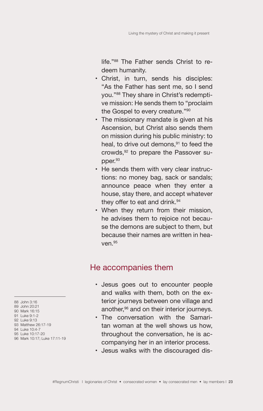life."88 The Father sends Christ to redeem humanity.

- Christ, in turn, sends his disciples: "As the Father has sent me, so I send you."88 They share in Christ's redemptive mission: He sends them to "proclaim the Gospel to every creature."90
- The missionary mandate is given at his Ascension, but Christ also sends them on mission during his public ministry: to heal, to drive out demons. $91$  to feed the crowds,92 to prepare the Passover supper.93
- He sends them with very clear instructions: no money bag, sack or sandals; announce peace when they enter a house, stay there, and accept whatever they offer to eat and drink.<sup>94</sup>
- When they return from their mission, he advises them to rejoice not because the demons are subject to them, but because their names are written in hea $v$ en  $95$

#### He accompanies them

- Jesus goes out to encounter people and walks with them, both on the exterior journeys between one village and another.<sup>96</sup> and on their interior journeys.
- The conversation with the Samaritan woman at the well shows us how, throughout the conversation, he is accompanying her in an interior process.
- Jesus walks with the discouraged dis-
- 88 John 3:16
- 89 John 20:21 90 Mark 16:15
- 91 Luke 9:1-2
- 92 Luke 9:13
- 93 Matthew 26:17-19 94 Luke 10:4-7
- 95 Luke 10:17-20
- 96 Mark 10:17; Luke 17:11-19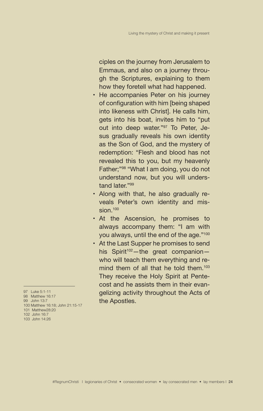ciples on the journey from Jerusalem to Emmaus, and also on a journey through the Scriptures, explaining to them how they foretell what had happened.

- He accompanies Peter on his journey of configuration with him [being shaped into likeness with Christ]. He calls him, gets into his boat, invites him to "put out into deep water."97 To Peter, Jesus gradually reveals his own identity as the Son of God, and the mystery of redemption: "Flesh and blood has not revealed this to you, but my heavenly Father;"98 "What I am doing, you do not understand now, but you will understand later."99
- Along with that, he also gradually reveals Peter's own identity and mission.100
- At the Ascension, he promises to always accompany them: "I am with you always, until the end of the age."<sup>100</sup>
- At the Last Supper he promises to send his Spirit<sup>102</sup>-the great companionwho will teach them everything and remind them of all that he told them.<sup>103</sup> They receive the Holy Spirit at Pentecost and he assists them in their evangelizing activity throughout the Acts of the Apostles.
- 99 John 13:7
- 100 Matthew 16:18; John 21:15-17
- 101 Matthew28:20
- 102 John 16:7 103 John 14:26
- 

<sup>97</sup> Luke 5:1-11 98 Matthew 16:17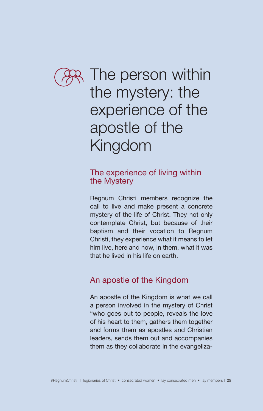

### **ARK** The person within the mystery: the experience of the apostle of the Kingdom

#### The experience of living within the Mystery

Regnum Christi members recognize the call to live and make present a concrete mystery of the life of Christ. They not only contemplate Christ, but because of their baptism and their vocation to Regnum Christi, they experience what it means to let him live, here and now, in them, what it was that he lived in his life on earth.

#### An apostle of the Kingdom

An apostle of the Kingdom is what we call a person involved in the mystery of Christ "who goes out to people, reveals the love of his heart to them, gathers them together and forms them as apostles and Christian leaders, sends them out and accompanies them as they collaborate in the evangeliza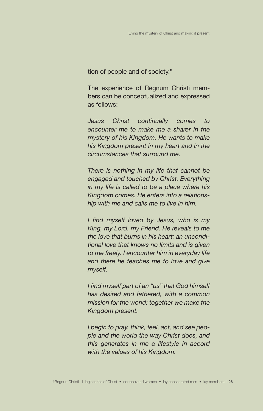tion of people and of society."

The experience of Regnum Christi members can be conceptualized and expressed as follows:

*Jesus Christ continually comes to encounter me to make me a sharer in the mystery of his Kingdom. He wants to make his Kingdom present in my heart and in the circumstances that surround me.*

*There is nothing in my life that cannot be engaged and touched by Christ. Everything in my life is called to be a place where his Kingdom comes. He enters into a relationship with me and calls me to live in him.*

*I find myself loved by Jesus, who is my King, my Lord, my Friend. He reveals to me the love that burns in his heart: an unconditional love that knows no limits and is given to me freely. I encounter him in everyday life and there he teaches me to love and give myself.*

*I find myself part of an "us" that God himself has desired and fathered, with a common mission for the world: together we make the Kingdom present.*

*I begin to pray, think, feel, act, and see people and the world the way Christ does, and this generates in me a lifestyle in accord with the values of his Kingdom.*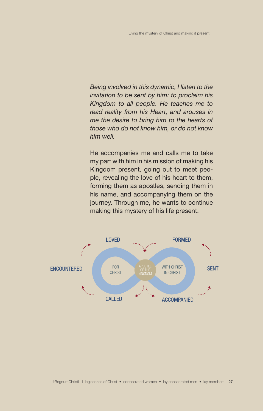*Being involved in this dynamic, I listen to the invitation to be sent by him: to proclaim his Kingdom to all people. He teaches me to read reality from his Heart, and arouses in me the desire to bring him to the hearts of those who do not know him, or do not know him well.* 

He accompanies me and calls me to take my part with him in his mission of making his Kingdom present, going out to meet people, revealing the love of his heart to them, forming them as apostles, sending them in his name, and accompanying them on the journey. Through me, he wants to continue making this mystery of his life present.

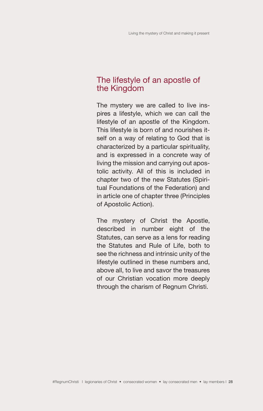#### The lifestyle of an apostle of the Kingdom

The mystery we are called to live inspires a lifestyle, which we can call the lifestyle of an apostle of the Kingdom. This lifestyle is born of and nourishes itself on a way of relating to God that is characterized by a particular spirituality, and is expressed in a concrete way of living the mission and carrying out apostolic activity. All of this is included in chapter two of the new Statutes (Spiritual Foundations of the Federation) and in article one of chapter three (Principles of Apostolic Action).

The mystery of Christ the Apostle, described in number eight of the Statutes, can serve as a lens for reading the Statutes and Rule of Life, both to see the richness and intrinsic unity of the lifestyle outlined in these numbers and, above all, to live and savor the treasures of our Christian vocation more deeply through the charism of Regnum Christi.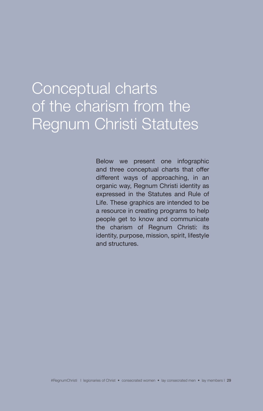### Conceptual charts of the charism from the Regnum Christi Statutes

Below we present one infographic and three conceptual charts that offer different ways of approaching, in an organic way, Regnum Christi identity as expressed in the Statutes and Rule of Life. These graphics are intended to be a resource in creating programs to help people get to know and communicate the charism of Regnum Christi: its identity, purpose, mission, spirit, lifestyle and structures.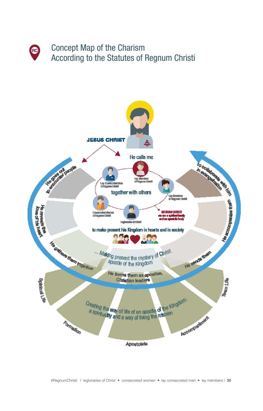#### Concept Map of the Charism **RC** According to the Statutes of Regnum Christi

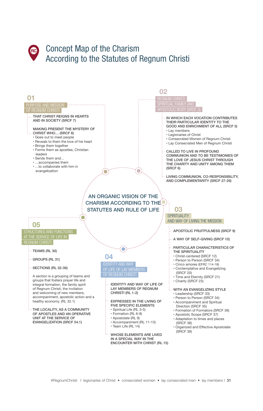### Concept Map of the Charism According to the Statutes of Regnum Christi

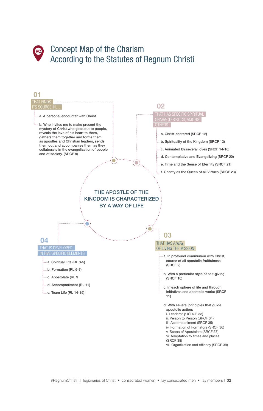### Concept Map of the Charism According to the Statutes of Regnum Christi